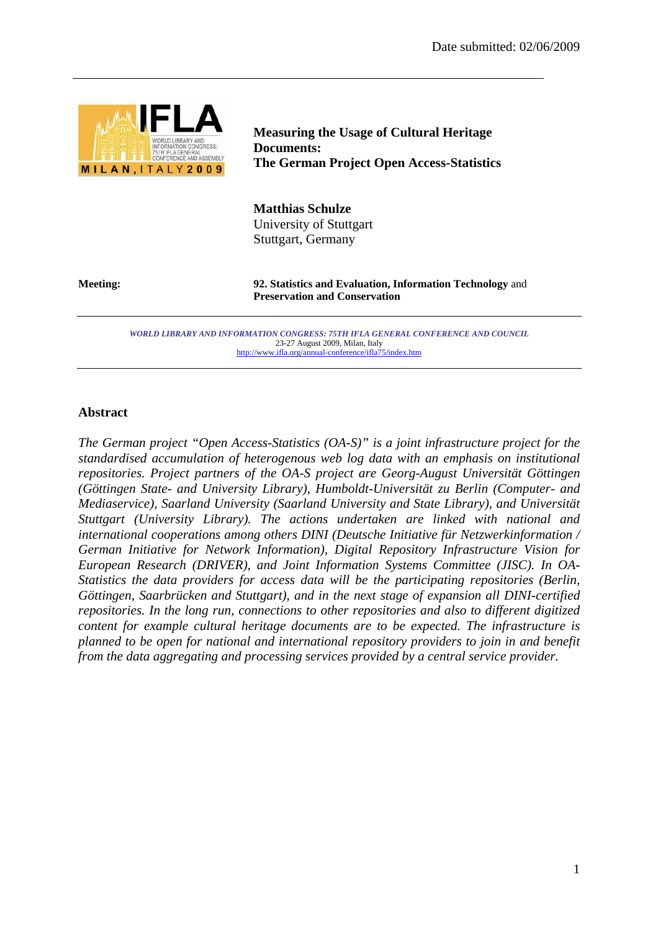

**Measuring the Usage of Cultural Heritage Documents: The German Project Open Access-Statistics** 

**Matthias Schulze**  University of Stuttgart Stuttgart, Germany

**Meeting: 92. Statistics and Evaluation, Information Technology** and **Preservation and Conservation**

> *WORLD LIBRARY AND INFORMATION CONGRESS: 75TH IFLA GENERAL CONFERENCE AND COUNCIL*  23-27 August 2009, Milan, Italy http://www.ifla.org/annual-conference/ifla75/index.htm

#### **Abstract**

*The German project "Open Access-Statistics (OA-S)" is a joint infrastructure project for the standardised accumulation of heterogenous web log data with an emphasis on institutional repositories. Project partners of the OA-S project are Georg-August Universität Göttingen (Göttingen State- and University Library), Humboldt-Universität zu Berlin (Computer- and Mediaservice), Saarland University (Saarland University and State Library), and Universität Stuttgart (University Library). The actions undertaken are linked with national and international cooperations among others DINI (Deutsche Initiative für Netzwerkinformation / German Initiative for Network Information), Digital Repository Infrastructure Vision for European Research (DRIVER), and Joint Information Systems Committee (JISC). In OA-Statistics the data providers for access data will be the participating repositories (Berlin, Göttingen, Saarbrücken and Stuttgart), and in the next stage of expansion all DINI-certified repositories. In the long run, connections to other repositories and also to different digitized content for example cultural heritage documents are to be expected. The infrastructure is planned to be open for national and international repository providers to join in and benefit from the data aggregating and processing services provided by a central service provider.*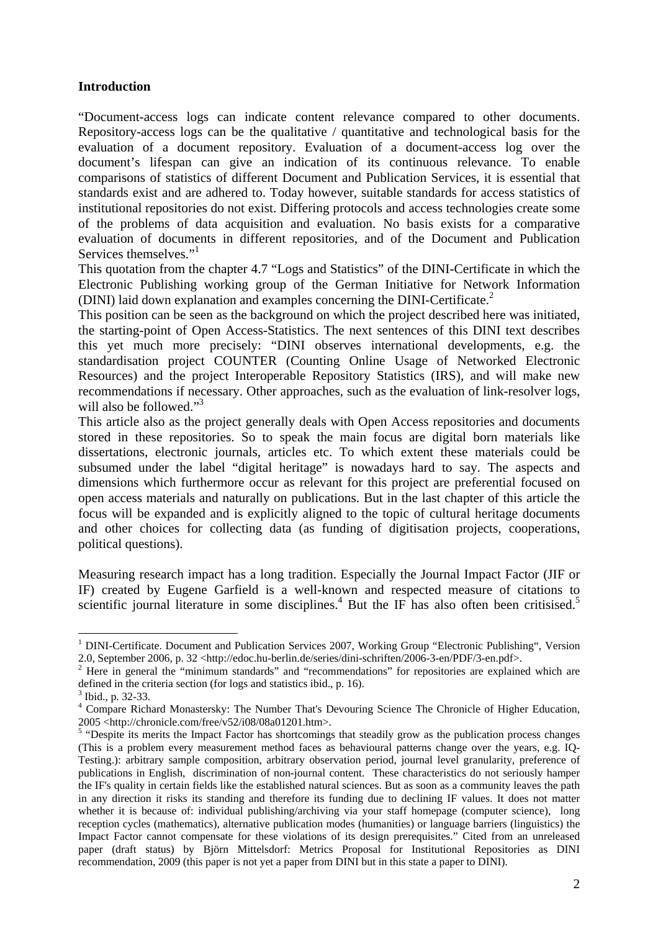## **Introduction**

"Document-access logs can indicate content relevance compared to other documents. Repository-access logs can be the qualitative / quantitative and technological basis for the evaluation of a document repository. Evaluation of a document-access log over the document's lifespan can give an indication of its continuous relevance. To enable comparisons of statistics of different Document and Publication Services, it is essential that standards exist and are adhered to. Today however, suitable standards for access statistics of institutional repositories do not exist. Differing protocols and access technologies create some of the problems of data acquisition and evaluation. No basis exists for a comparative evaluation of documents in different repositories, and of the Document and Publication Services themselves."<sup>1</sup>

This quotation from the chapter 4.7 "Logs and Statistics" of the DINI-Certificate in which the Electronic Publishing working group of the German Initiative for Network Information (DINI) laid down explanation and examples concerning the DINI-Certificate.2

This position can be seen as the background on which the project described here was initiated, the starting-point of Open Access-Statistics. The next sentences of this DINI text describes this yet much more precisely: "DINI observes international developments, e.g. the standardisation project COUNTER (Counting Online Usage of Networked Electronic Resources) and the project Interoperable Repository Statistics (IRS), and will make new recommendations if necessary. Other approaches, such as the evaluation of link-resolver logs, will also be followed."<sup>3</sup>

This article also as the project generally deals with Open Access repositories and documents stored in these repositories. So to speak the main focus are digital born materials like dissertations, electronic journals, articles etc. To which extent these materials could be subsumed under the label "digital heritage" is nowadays hard to say. The aspects and dimensions which furthermore occur as relevant for this project are preferential focused on open access materials and naturally on publications. But in the last chapter of this article the focus will be expanded and is explicitly aligned to the topic of cultural heritage documents and other choices for collecting data (as funding of digitisation projects, cooperations, political questions).

Measuring research impact has a long tradition. Especially the Journal Impact Factor (JIF or IF) created by Eugene Garfield is a well-known and respected measure of citations to scientific journal literature in some disciplines.<sup>4</sup> But the IF has also often been critisised.<sup>5</sup>

<u>.</u>

<sup>&</sup>lt;sup>1</sup> DINI-Certificate. Document and Publication Services 2007, Working Group "Electronic Publishing", Version 2.0, September 2006, p. 32 <http://edoc.hu-berlin.de/series/dini-schriften/2006-3-en/PDF/3-en.pdf>. 2

Here in general the "minimum standards" and "recommendations" for repositories are explained which are defined in the criteria section (for logs and statistics ibid., p. 16).

 $3$  Ibid., p. 32-33.

<sup>&</sup>lt;sup>4</sup> Compare Richard Monastersky: The Number That's Devouring Science The Chronicle of Higher Education, 2005 <http://chronicle.com/free/v52/i08/08a01201.htm>.

<sup>&</sup>lt;sup>5</sup> "Despite its merits the Impact Factor has shortcomings that steadily grow as the publication process changes (This is a problem every measurement method faces as behavioural patterns change over the years, e.g. IQ-Testing.): arbitrary sample composition, arbitrary observation period, journal level granularity, preference of publications in English, discrimination of non-journal content. These characteristics do not seriously hamper the IF's quality in certain fields like the established natural sciences. But as soon as a community leaves the path in any direction it risks its standing and therefore its funding due to declining IF values. It does not matter whether it is because of: individual publishing/archiving via your staff homepage (computer science), long reception cycles (mathematics), alternative publication modes (humanities) or language barriers (linguistics) the Impact Factor cannot compensate for these violations of its design prerequisites." Cited from an unreleased paper (draft status) by Björn Mittelsdorf: Metrics Proposal for Institutional Repositories as DINI recommendation, 2009 (this paper is not yet a paper from DINI but in this state a paper to DINI).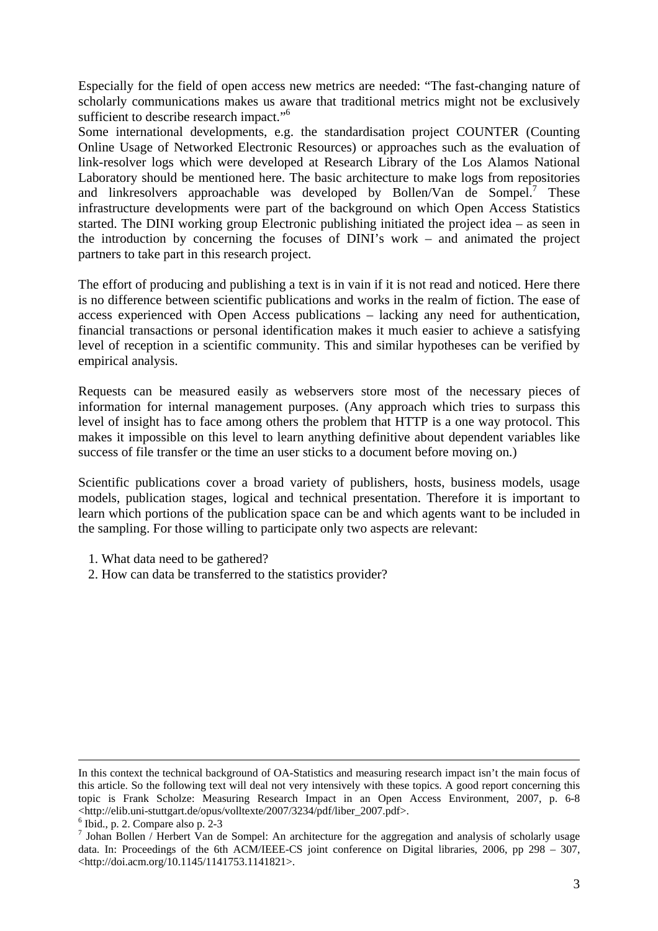Especially for the field of open access new metrics are needed: "The fast-changing nature of scholarly communications makes us aware that traditional metrics might not be exclusively sufficient to describe research impact."<sup>6</sup>

Some international developments, e.g. the standardisation project COUNTER (Counting Online Usage of Networked Electronic Resources) or approaches such as the evaluation of link-resolver logs which were developed at Research Library of the Los Alamos National Laboratory should be mentioned here. The basic architecture to make logs from repositories and linkresolvers approachable was developed by Bollen/Van de Sompel.<sup>7</sup> These infrastructure developments were part of the background on which Open Access Statistics started. The DINI working group Electronic publishing initiated the project idea – as seen in the introduction by concerning the focuses of DINI's work – and animated the project partners to take part in this research project.

The effort of producing and publishing a text is in vain if it is not read and noticed. Here there is no difference between scientific publications and works in the realm of fiction. The ease of access experienced with Open Access publications – lacking any need for authentication, financial transactions or personal identification makes it much easier to achieve a satisfying level of reception in a scientific community. This and similar hypotheses can be verified by empirical analysis.

Requests can be measured easily as webservers store most of the necessary pieces of information for internal management purposes. (Any approach which tries to surpass this level of insight has to face among others the problem that HTTP is a one way protocol. This makes it impossible on this level to learn anything definitive about dependent variables like success of file transfer or the time an user sticks to a document before moving on.)

Scientific publications cover a broad variety of publishers, hosts, business models, usage models, publication stages, logical and technical presentation. Therefore it is important to learn which portions of the publication space can be and which agents want to be included in the sampling. For those willing to participate only two aspects are relevant:

- 1. What data need to be gathered?
- 2. How can data be transferred to the statistics provider?

In this context the technical background of OA-Statistics and measuring research impact isn't the main focus of this article. So the following text will deal not very intensively with these topics. A good report concerning this topic is Frank Scholze: Measuring Research Impact in an Open Access Environment, 2007, p. 6-8 <http://elib.uni-stuttgart.de/opus/volltexte/2007/3234/pdf/liber\_2007.pdf>. 6

 $<sup>6</sup>$  Ibid., p. 2. Compare also p. 2-3</sup>

 $\overline{J}$  Johan Bollen / Herbert Van de Sompel: An architecture for the aggregation and analysis of scholarly usage data. In: Proceedings of the 6th ACM/IEEE-CS joint conference on Digital libraries, 2006, pp 298 – 307, <http://doi.acm.org/10.1145/1141753.1141821>.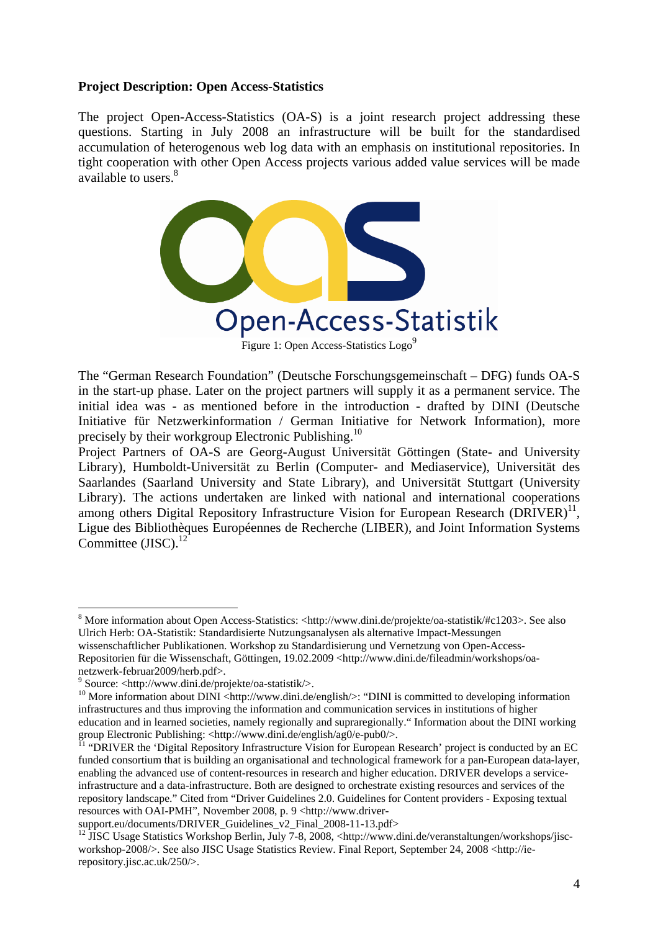### **Project Description: Open Access-Statistics**

The project Open-Access-Statistics (OA-S) is a joint research project addressing these questions. Starting in July 2008 an infrastructure will be built for the standardised accumulation of heterogenous web log data with an emphasis on institutional repositories. In tight cooperation with other Open Access projects various added value services will be made available to users.<sup>8</sup>



The "German Research Foundation" (Deutsche Forschungsgemeinschaft – DFG) funds OA-S in the start-up phase. Later on the project partners will supply it as a permanent service. The initial idea was - as mentioned before in the introduction - drafted by DINI (Deutsche Initiative für Netzwerkinformation / German Initiative for Network Information), more precisely by their workgroup Electronic Publishing.<sup>10</sup>

Project Partners of OA-S are Georg-August Universität Göttingen (State- and University Library), Humboldt-Universität zu Berlin (Computer- and Mediaservice), Universität des Saarlandes (Saarland University and State Library), and Universität Stuttgart (University Library). The actions undertaken are linked with national and international cooperations among others Digital Repository Infrastructure Vision for European Research  $(DRIVER)^{11}$ , Ligue des Bibliothèques Européennes de Recherche (LIBER), and Joint Information Systems Committee  $(JISC)$ .<sup>12</sup>

<sup>&</sup>lt;sup>8</sup> More information about Open Access-Statistics: <http://www.dini.de/projekte/oa-statistik/#c1203>. See also Ulrich Herb: OA-Statistik: Standardisierte Nutzungsanalysen als alternative Impact-Messungen

wissenschaftlicher Publikationen. Workshop zu Standardisierung und Vernetzung von Open-Access-Repositorien für die Wissenschaft, Göttingen, 19.02.2009 <http://www.dini.de/fileadmin/workshops/oanetzwerk-februar2009/herb.pdf>.

<sup>9</sup> Source: <http://www.dini.de/projekte/oa-statistik/>.

<sup>&</sup>lt;sup>10</sup> More information about DINI <http://www.dini.de/english/>: "DINI is committed to developing information infrastructures and thus improving the information and communication services in institutions of higher education and in learned societies, namely regionally and supraregionally." Information about the DINI working group Electronic Publishing: <http://www.dini.de/english/ag0/e-pub0/>.<br><sup>11</sup> "DRIVER the 'Digital Repository Infrastructure Vision for European Research' project is conducted by an EC

funded consortium that is building an organisational and technological framework for a pan-European data-layer, enabling the advanced use of content-resources in research and higher education. DRIVER develops a serviceinfrastructure and a data-infrastructure. Both are designed to orchestrate existing resources and services of the repository landscape." Cited from "Driver Guidelines 2.0. Guidelines for Content providers - Exposing textual resources with OAI-PMH", November 2008, p. 9 <http://www.driver-

support.eu/documents/DRIVER\_Guidelines\_v2\_Final\_2008-11-13.pdf>

<sup>&</sup>lt;sup>12</sup> JISC Usage Statistics Workshop Berlin, July 7-8, 2008, <http://www.dini.de/veranstaltungen/workshops/jiscworkshop-2008/>. See also JISC Usage Statistics Review. Final Report, September 24, 2008 <http://ierepository.jisc.ac.uk/250/>.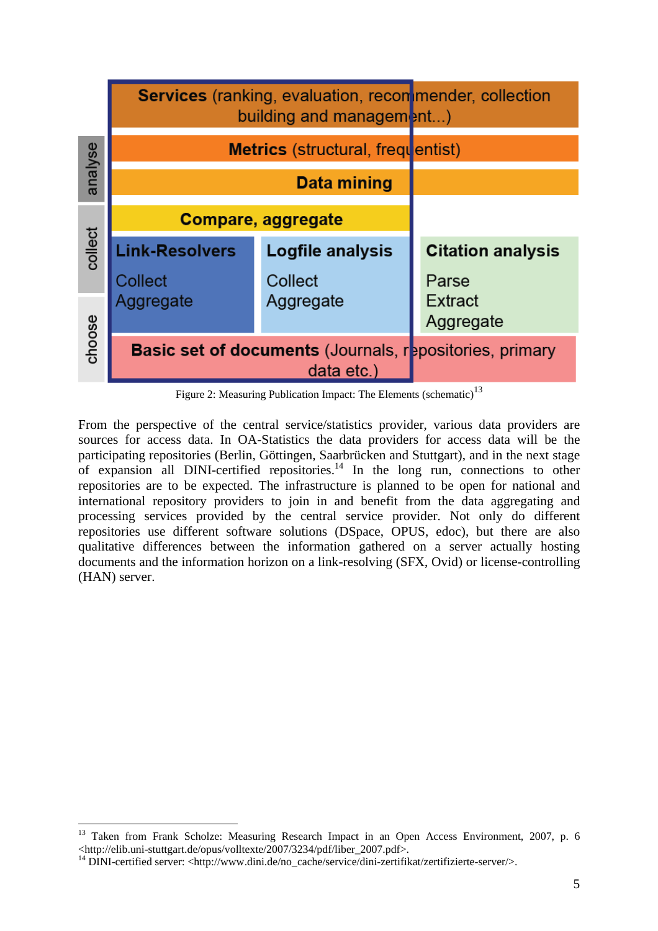

Figure 2: Measuring Publication Impact: The Elements (schematic)<sup>13</sup>

From the perspective of the central service/statistics provider, various data providers are sources for access data. In OA-Statistics the data providers for access data will be the participating repositories (Berlin, Göttingen, Saarbrücken and Stuttgart), and in the next stage of expansion all DINI-certified repositories.<sup>14</sup> In the long run, connections to other repositories are to be expected. The infrastructure is planned to be open for national and international repository providers to join in and benefit from the data aggregating and processing services provided by the central service provider. Not only do different repositories use different software solutions (DSpace, OPUS, edoc), but there are also qualitative differences between the information gathered on a server actually hosting documents and the information horizon on a link-resolving (SFX, Ovid) or license-controlling (HAN) server.

<sup>&</sup>lt;sup>13</sup> Taken from Frank Scholze: Measuring Research Impact in an Open Access Environment, 2007, p. 6 <http://elib.uni-stuttgart.de/opus/volltexte/2007/3234/pdf/liber\_2007.pdf>. 14 DINI-certified server: <http://www.dini.de/no\_cache/service/dini-zertifikat/zertifizierte-server/>.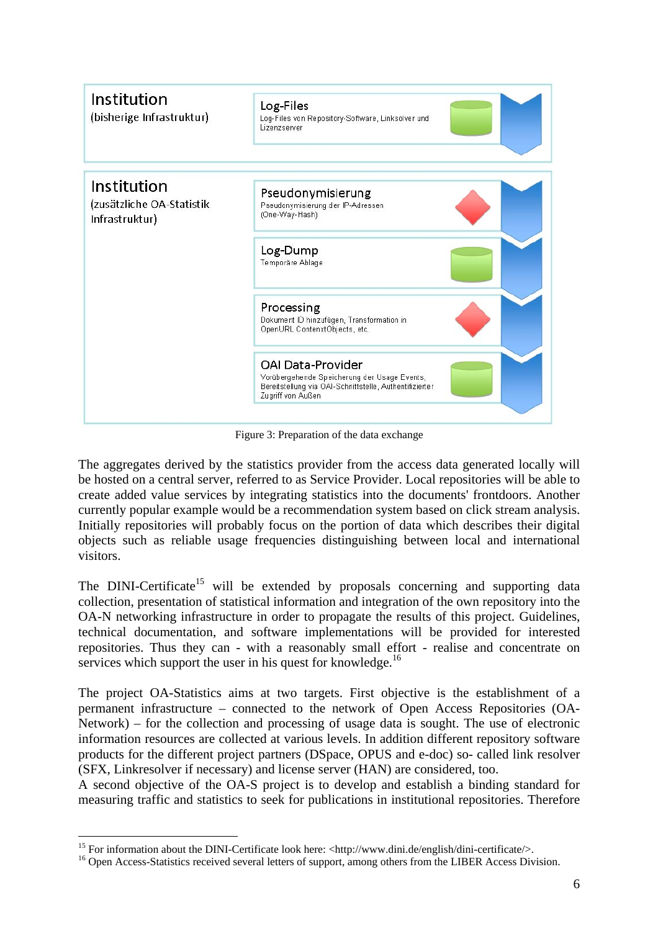

Figure 3: Preparation of the data exchange

The aggregates derived by the statistics provider from the access data generated locally will be hosted on a central server, referred to as Service Provider. Local repositories will be able to create added value services by integrating statistics into the documents' frontdoors. Another currently popular example would be a recommendation system based on click stream analysis. Initially repositories will probably focus on the portion of data which describes their digital objects such as reliable usage frequencies distinguishing between local and international visitors.

The DINI-Certificate<sup>15</sup> will be extended by proposals concerning and supporting data collection, presentation of statistical information and integration of the own repository into the OA-N networking infrastructure in order to propagate the results of this project. Guidelines, technical documentation, and software implementations will be provided for interested repositories. Thus they can - with a reasonably small effort - realise and concentrate on services which support the user in his quest for knowledge.<sup>16</sup>

The project OA-Statistics aims at two targets. First objective is the establishment of a permanent infrastructure – connected to the network of Open Access Repositories (OA-Network) – for the collection and processing of usage data is sought. The use of electronic information resources are collected at various levels. In addition different repository software products for the different project partners (DSpace, OPUS and e-doc) so- called link resolver (SFX, Linkresolver if necessary) and license server (HAN) are considered, too.

A second objective of the OA-S project is to develop and establish a binding standard for measuring traffic and statistics to seek for publications in institutional repositories. Therefore

<sup>&</sup>lt;sup>15</sup> For information about the DINI-Certificate look here: <http://www.dini.de/english/dini-certificate/>.

<sup>&</sup>lt;sup>16</sup> Open Access-Statistics received several letters of support, among others from the LIBER Access Division.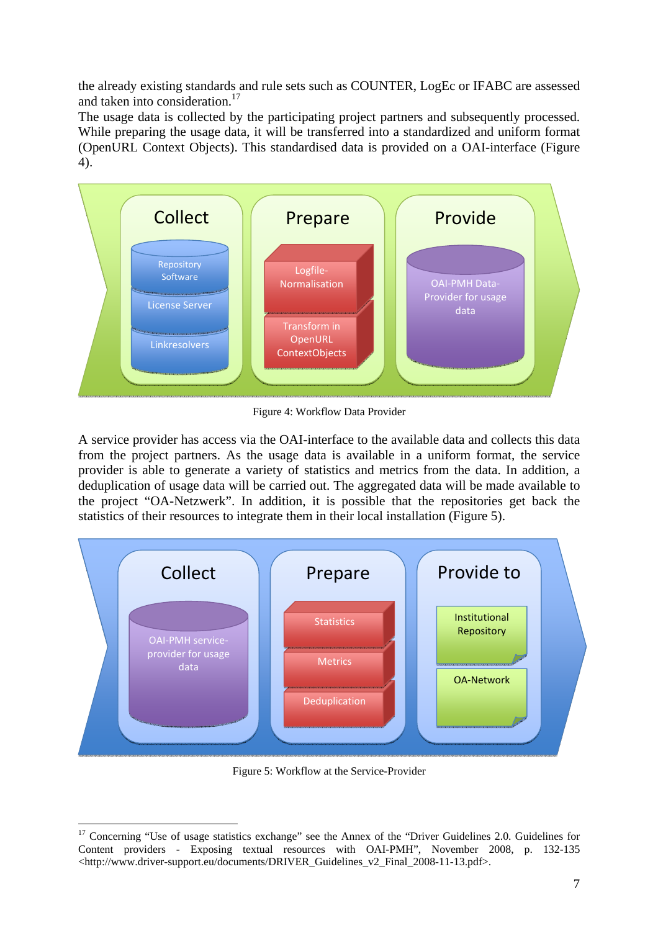the already existing standards and rule sets such as COUNTER, LogEc or IFABC are assessed and taken into consideration.<sup>17</sup>

The usage data is collected by the participating project partners and subsequently processed. While preparing the usage data, it will be transferred into a standardized and uniform format (OpenURL Context Objects). This standardised data is provided on a OAI-interface (Figure 4).



Figure 4: Workflow Data Provider

A service provider has access via the OAI-interface to the available data and collects this data from the project partners. As the usage data is available in a uniform format, the service provider is able to generate a variety of statistics and metrics from the data. In addition, a deduplication of usage data will be carried out. The aggregated data will be made available to the project "OA-Netzwerk". In addition, it is possible that the repositories get back the statistics of their resources to integrate them in their local installation (Figure 5).



Figure 5: Workflow at the Service-Provider

<sup>&</sup>lt;sup>17</sup> Concerning "Use of usage statistics exchange" see the Annex of the "Driver Guidelines 2.0. Guidelines for Content providers - Exposing textual resources with OAI-PMH", November 2008, p. 132-135 <http://www.driver-support.eu/documents/DRIVER\_Guidelines\_v2\_Final\_2008-11-13.pdf>.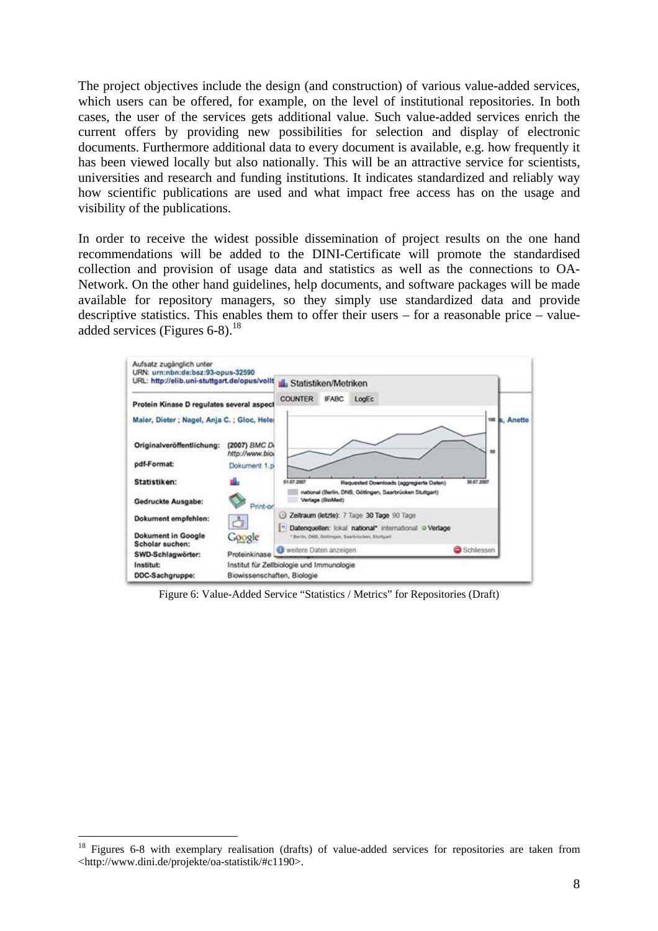The project objectives include the design (and construction) of various value-added services, which users can be offered, for example, on the level of institutional repositories. In both cases, the user of the services gets additional value. Such value-added services enrich the current offers by providing new possibilities for selection and display of electronic documents. Furthermore additional data to every document is available, e.g. how frequently it has been viewed locally but also nationally. This will be an attractive service for scientists, universities and research and funding institutions. It indicates standardized and reliably way how scientific publications are used and what impact free access has on the usage and visibility of the publications.

In order to receive the widest possible dissemination of project results on the one hand recommendations will be added to the DINI-Certificate will promote the standardised collection and provision of usage data and statistics as well as the connections to OA-Network. On the other hand guidelines, help documents, and software packages will be made available for repository managers, so they simply use standardized data and provide descriptive statistics. This enables them to offer their users – for a reasonable price – valueadded services (Figures 6-8).<sup>18</sup>



Figure 6: Value-Added Service "Statistics / Metrics" for Repositories (Draft)

<sup>&</sup>lt;sup>18</sup> Figures 6-8 with exemplary realisation (drafts) of value-added services for repositories are taken from <http://www.dini.de/projekte/oa-statistik/#c1190>.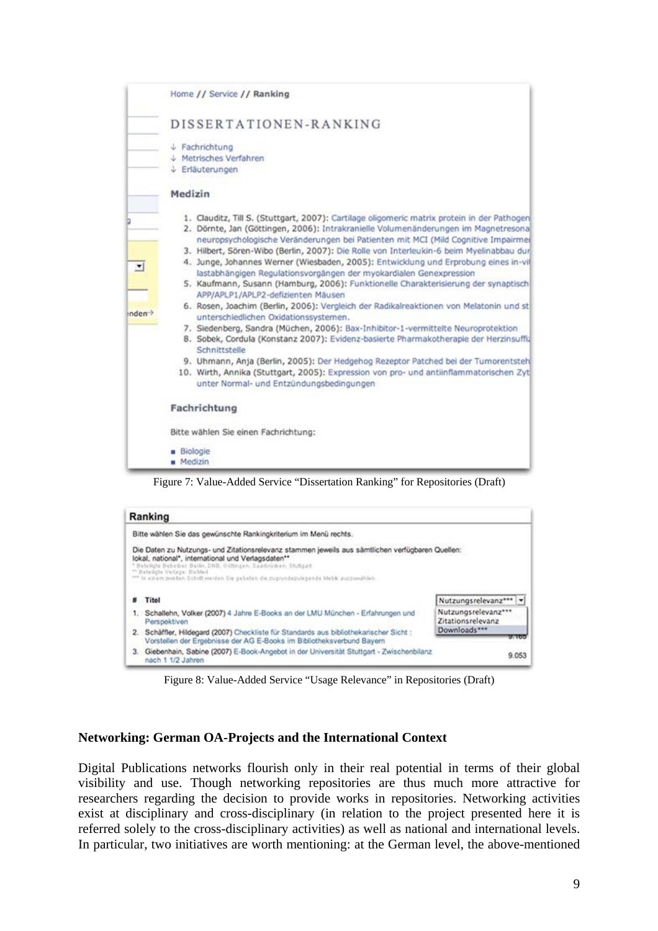

Ranking Bitte wählen Sie das gewünschte Rankingkriterium im Menü rechts. Die Daten zu Nutzungs- und Zitationsrelevanz stammen jeweils aus sämtlichen verfügbaren Quellen: lokal, national\*, international und Verlagsdaten\*\* sken, Stüttgart teteiligte Veilage: Biobbell<br>In einem zweiten Schrift werden Sie gebeten die zugrundezulegende Metrik auszumählen: # Titel Nutzungsrelevanz\*\*\* | v Nutzungsrelevanz\*\*\* 1. Schallehn, Volker (2007) 4 Jahre E-Books an der LMU München - Erfahrungen und Zitationsrelevanz Perspektiven Downloads\*\*\* 2. Schäffler, Hildegard (2007) Checkliste für Standards aus bibliothekarischer Sicht : Vorstellen der Ergebnisse der AG E-Books im Bibliotheksverbund Bayern 3. Giebenhain, Sabine (2007) E-Book-Angebot in der Universität Stuttgart - Zwischenbilanz 9.053 nach 1 1/2 Jahren

Figure 8: Value-Added Service "Usage Relevance" in Repositories (Draft)

# **Networking: German OA-Projects and the International Context**

Digital Publications networks flourish only in their real potential in terms of their global visibility and use. Though networking repositories are thus much more attractive for researchers regarding the decision to provide works in repositories. Networking activities exist at disciplinary and cross-disciplinary (in relation to the project presented here it is referred solely to the cross-disciplinary activities) as well as national and international levels. In particular, two initiatives are worth mentioning: at the German level, the above-mentioned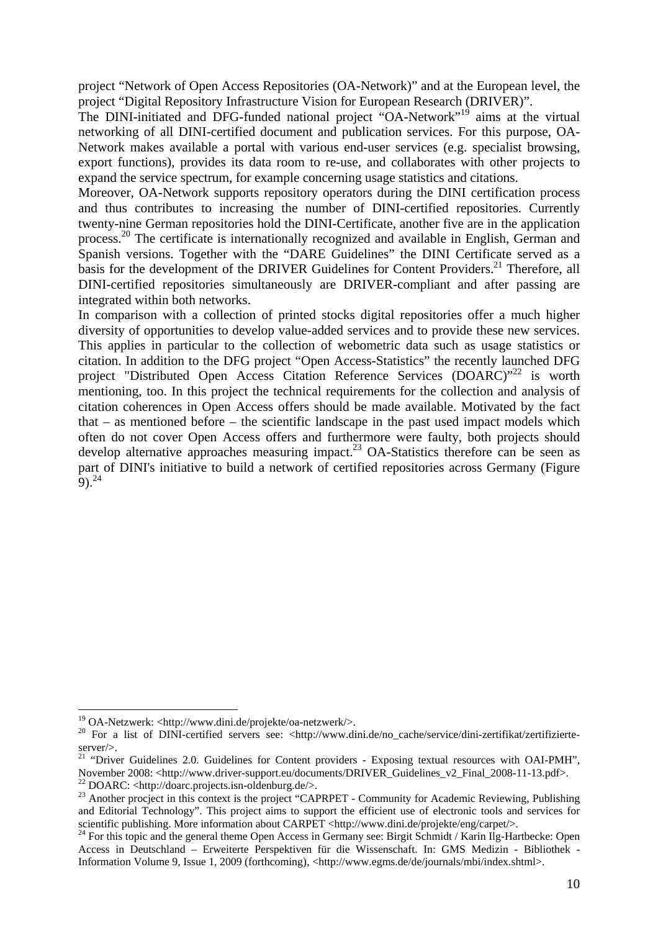project "Network of Open Access Repositories (OA-Network)" and at the European level, the project "Digital Repository Infrastructure Vision for European Research (DRIVER)".

The DINI-initiated and DFG-funded national project "OA-Network"19 aims at the virtual networking of all DINI-certified document and publication services. For this purpose, OA-Network makes available a portal with various end-user services (e.g. specialist browsing, export functions), provides its data room to re-use, and collaborates with other projects to expand the service spectrum, for example concerning usage statistics and citations.

Moreover, OA-Network supports repository operators during the DINI certification process and thus contributes to increasing the number of DINI-certified repositories. Currently twenty-nine German repositories hold the DINI-Certificate, another five are in the application process.20 The certificate is internationally recognized and available in English, German and Spanish versions. Together with the "DARE Guidelines" the DINI Certificate served as a basis for the development of the DRIVER Guidelines for Content Providers.<sup>21</sup> Therefore, all DINI-certified repositories simultaneously are DRIVER-compliant and after passing are integrated within both networks.

In comparison with a collection of printed stocks digital repositories offer a much higher diversity of opportunities to develop value-added services and to provide these new services. This applies in particular to the collection of webometric data such as usage statistics or citation. In addition to the DFG project "Open Access-Statistics" the recently launched DFG project "Distributed Open Access Citation Reference Services (DOARC)"<sup>22</sup> is worth mentioning, too. In this project the technical requirements for the collection and analysis of citation coherences in Open Access offers should be made available. Motivated by the fact that – as mentioned before – the scientific landscape in the past used impact models which often do not cover Open Access offers and furthermore were faulty, both projects should develop alternative approaches measuring impact.<sup>23</sup> OA-Statistics therefore can be seen as part of DINI's initiative to build a network of certified repositories across Germany (Figure  $9)$ <sup>24</sup>

<sup>&</sup>lt;sup>19</sup> OA-Netzwerk: <http://www.dini.de/projekte/oa-netzwerk/>.

<sup>&</sup>lt;sup>20</sup> For a list of DINI-certified servers see: <http://www.dini.de/no\_cache/service/dini-zertifikat/zertifizierteserver/>.

<sup>&</sup>lt;sup>21</sup> "Driver Guidelines 2.0. Guidelines for Content providers - Exposing textual resources with OAI-PMH", November 2008: <http://www.driver-support.eu/documents/DRIVER\_Guidelines\_v2\_Final\_2008-11-13.pdf>. 22 DOARC: <http://doarc.projects.isn-oldenburg.de/>.

<sup>&</sup>lt;sup>23</sup> Another procject in this context is the project "CAPRPET - Community for Academic Reviewing, Publishing and Editorial Technology". This project aims to support the efficient use of electronic tools and services for scientific publishing. More information about CARPET <http://www.dini.de/projekte/eng/carpet/>.<br><sup>24</sup> For this topic and the general theme Open Access in Germany see: Birgit Schmidt / Karin Ilg-Hartbecke: Open

Access in Deutschland – Erweiterte Perspektiven für die Wissenschaft. In: GMS Medizin - Bibliothek - Information Volume 9, Issue 1, 2009 (forthcoming), <http://www.egms.de/de/journals/mbi/index.shtml>.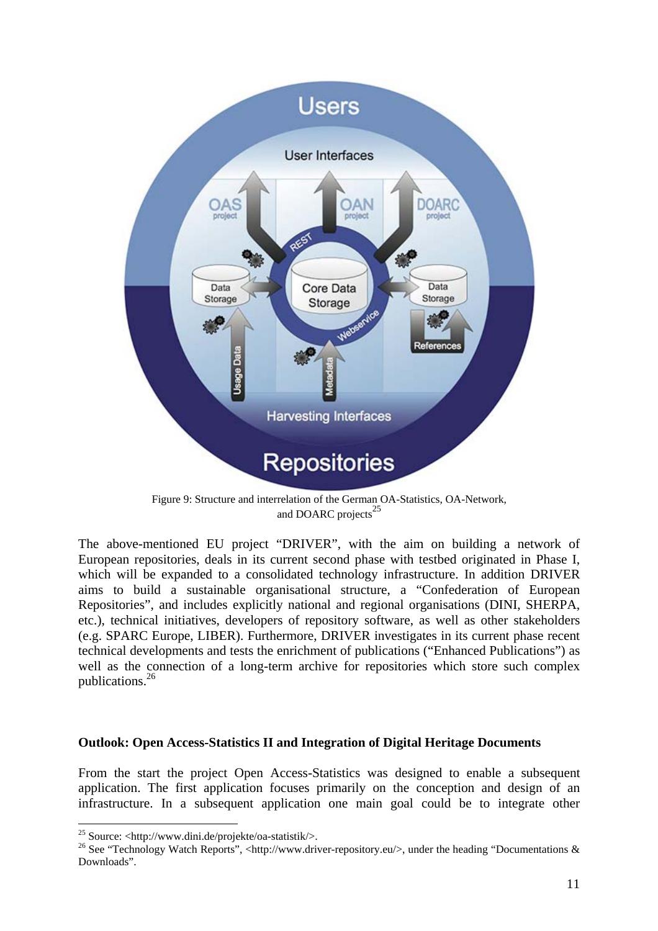

Figure 9: Structure and interrelation of the German OA-Statistics, OA-Network, and DOARC projects<sup>25</sup>

The above-mentioned EU project "DRIVER", with the aim on building a network of European repositories, deals in its current second phase with testbed originated in Phase I, which will be expanded to a consolidated technology infrastructure. In addition DRIVER aims to build a sustainable organisational structure, a "Confederation of European Repositories", and includes explicitly national and regional organisations (DINI, SHERPA, etc.), technical initiatives, developers of repository software, as well as other stakeholders (e.g. SPARC Europe, LIBER). Furthermore, DRIVER investigates in its current phase recent technical developments and tests the enrichment of publications ("Enhanced Publications") as well as the connection of a long-term archive for repositories which store such complex publications.26

#### **Outlook: Open Access-Statistics II and Integration of Digital Heritage Documents**

From the start the project Open Access-Statistics was designed to enable a subsequent application. The first application focuses primarily on the conception and design of an infrastructure. In a subsequent application one main goal could be to integrate other

<sup>&</sup>lt;sup>25</sup> Source: <http://www.dini.de/projekte/oa-statistik/>.

<sup>&</sup>lt;sup>26</sup> See "Technology Watch Reports", <http://www.driver-repository.eu/>, under the heading "Documentations & Downloads".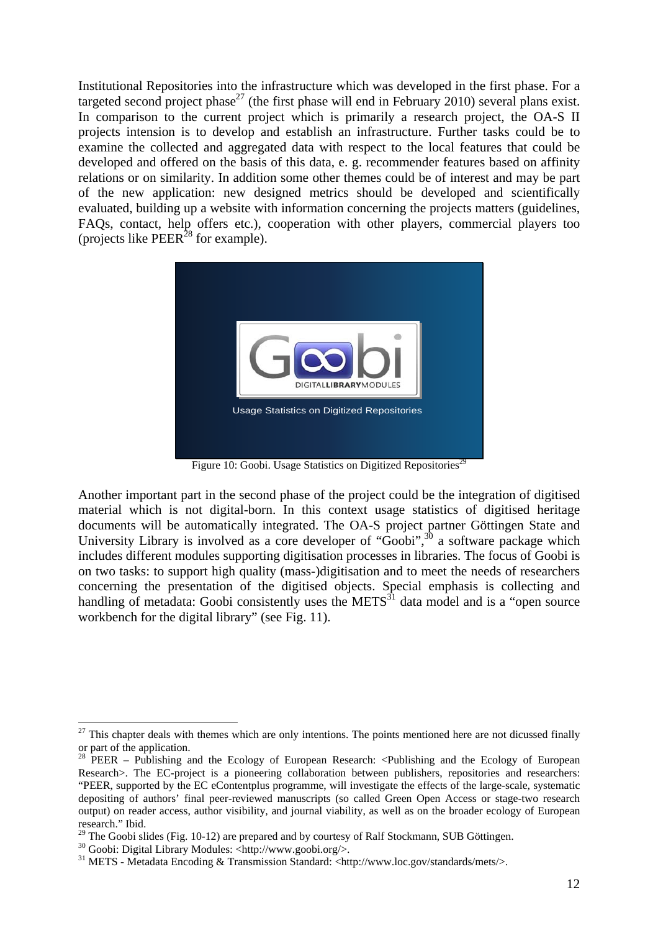Institutional Repositories into the infrastructure which was developed in the first phase. For a targeted second project phase<sup>27</sup> (the first phase will end in February 2010) several plans exist. In comparison to the current project which is primarily a research project, the OA-S II projects intension is to develop and establish an infrastructure. Further tasks could be to examine the collected and aggregated data with respect to the local features that could be developed and offered on the basis of this data, e. g. recommender features based on affinity relations or on similarity. In addition some other themes could be of interest and may be part of the new application: new designed metrics should be developed and scientifically evaluated, building up a website with information concerning the projects matters (guidelines, FAQs, contact, help offers etc.), cooperation with other players, commercial players too (projects like  $PEER<sup>28</sup>$  for example).



Figure 10: Goobi. Usage Statistics on Digitized Repositories<sup>29</sup>

Another important part in the second phase of the project could be the integration of digitised material which is not digital-born. In this context usage statistics of digitised heritage documents will be automatically integrated. The OA-S project partner Göttingen State and University Library is involved as a core developer of "Goobi",<sup>30</sup> a software package which includes different modules supporting digitisation processes in libraries. The focus of Goobi is on two tasks: to support high quality (mass-)digitisation and to meet the needs of researchers concerning the presentation of the digitised objects. Special emphasis is collecting and handling of metadata: Goobi consistently uses the  $METS<sup>31</sup>$  data model and is a "open source workbench for the digital library" (see Fig. 11).

 $\overline{a}$ 

 $27$  This chapter deals with themes which are only intentions. The points mentioned here are not dicussed finally or part of the application.

<sup>&</sup>lt;sup>28</sup> PEER – Publishing and the Ecology of European Research:  $\langle$ Publishing and the Ecology of European Research>. The EC-project is a pioneering collaboration between publishers, repositories and researchers: "PEER, supported by the EC eContentplus programme, will investigate the effects of the large-scale, systematic depositing of authors' final peer-reviewed manuscripts (so called Green Open Access or stage-two research output) on reader access, author visibility, and journal viability, as well as on the broader ecology of European research." Ibid.

<sup>&</sup>lt;sup>29</sup> The Goobi slides (Fig. 10-12) are prepared and by courtesy of Ralf Stockmann, SUB Göttingen.

 $30$  Goobi: Digital Library Modules: <http://www.goobi.org/>.

<sup>31</sup> METS - Metadata Encoding & Transmission Standard: <http://www.loc.gov/standards/mets/>.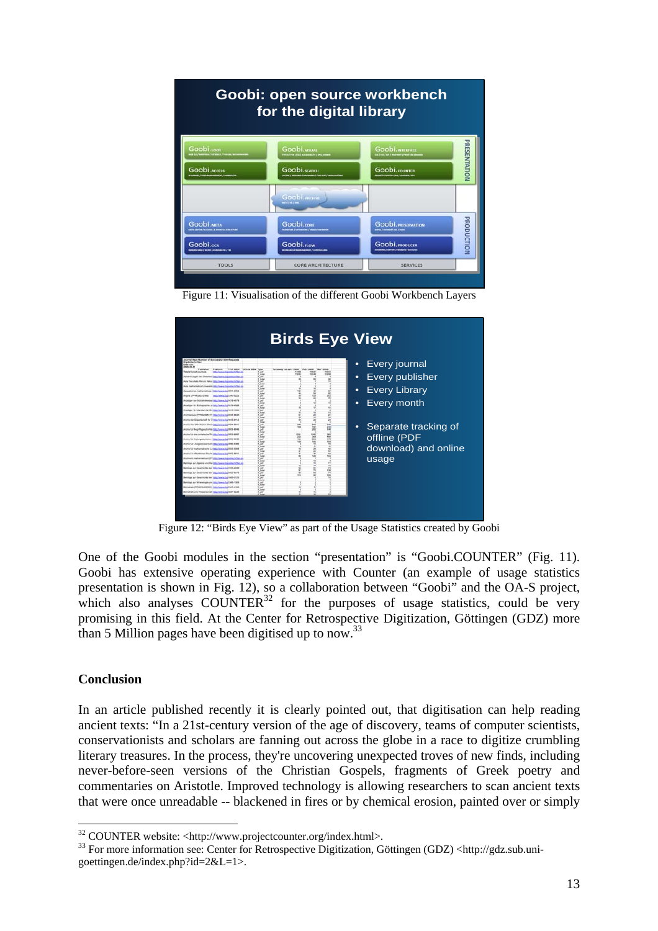

Figure 11: Visualisation of the different Goobi Workbench Layers



Figure 12: "Birds Eye View" as part of the Usage Statistics created by Goobi

One of the Goobi modules in the section "presentation" is "Goobi.COUNTER" (Fig. 11). Goobi has extensive operating experience with Counter (an example of usage statistics presentation is shown in Fig. 12), so a collaboration between "Goobi" and the OA-S project, which also analyses COUNTER<sup>32</sup> for the purposes of usage statistics, could be very promising in this field. At the Center for Retrospective Digitization, Göttingen (GDZ) more than 5 Million pages have been digitised up to now.<sup>33</sup>

#### **Conclusion**

In an article published recently it is clearly pointed out, that digitisation can help reading ancient texts: "In a 21st-century version of the age of discovery, teams of computer scientists, conservationists and scholars are fanning out across the globe in a race to digitize crumbling literary treasures. In the process, they're uncovering unexpected troves of new finds, including never-before-seen versions of the Christian Gospels, fragments of Greek poetry and commentaries on Aristotle. Improved technology is allowing researchers to scan ancient texts that were once unreadable -- blackened in fires or by chemical erosion, painted over or simply

<sup>&</sup>lt;sup>32</sup> COUNTER website: <http://www.projectcounter.org/index.html>.

<sup>&</sup>lt;sup>33</sup> For more information see: Center for Retrospective Digitization, Göttingen (GDZ) <http://gdz.sub.unigoettingen.de/index.php?id=2&L=1>.